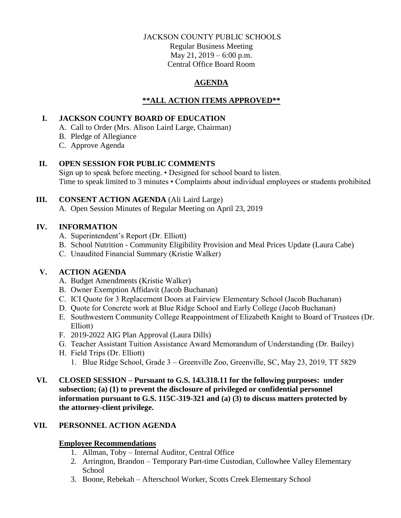## JACKSON COUNTY PUBLIC SCHOOLS

Regular Business Meeting May 21, 2019 – 6:00 p.m. Central Office Board Room

# **AGENDA**

# **\*\*ALL ACTION ITEMS APPROVED\*\***

# **I. JACKSON COUNTY BOARD OF EDUCATION**

- A. Call to Order (Mrs. Alison Laird Large, Chairman)
- B. Pledge of Allegiance
- C. Approve Agenda

# **II. OPEN SESSION FOR PUBLIC COMMENTS**

Sign up to speak before meeting. • Designed for school board to listen. Time to speak limited to 3 minutes • Complaints about individual employees or students prohibited

# **III. CONSENT ACTION AGENDA** (Ali Laird Large)

A. Open Session Minutes of Regular Meeting on April 23, 2019

# **IV. INFORMATION**

- A. Superintendent's Report (Dr. Elliott)
- B. School Nutrition Community Eligibility Provision and Meal Prices Update (Laura Cabe)
- C. Unaudited Financial Summary (Kristie Walker)

# **V. ACTION AGENDA**

- A. Budget Amendments (Kristie Walker)
- B. Owner Exemption Affidavit (Jacob Buchanan)
- C. ICI Quote for 3 Replacement Doors at Fairview Elementary School (Jacob Buchanan)
- D. Quote for Concrete work at Blue Ridge School and Early College (Jacob Buchanan)
- E. Southwestern Community College Reappointment of Elizabeth Knight to Board of Trustees (Dr. Elliott)
- F. 2019-2022 AIG Plan Approval (Laura Dills)
- G. Teacher Assistant Tuition Assistance Award Memorandum of Understanding (Dr. Bailey)
- H. Field Trips (Dr. Elliott)
	- 1. Blue Ridge School, Grade 3 Greenville Zoo, Greenville, SC, May 23, 2019, TT 5829
- **VI. CLOSED SESSION – Pursuant to G.S. 143.318.11 for the following purposes: under subsection; (a) (1) to prevent the disclosure of privileged or confidential personnel information pursuant to G.S. 115C-319-321 and (a) (3) to discuss matters protected by the attorney-client privilege.**

# **VII. PERSONNEL ACTION AGENDA**

# **Employee Recommendations**

- 1. Allman, Toby Internal Auditor, Central Office
- 2. Arrington, Brandon Temporary Part-time Custodian, Cullowhee Valley Elementary **School**
- 3. Boone, Rebekah Afterschool Worker, Scotts Creek Elementary School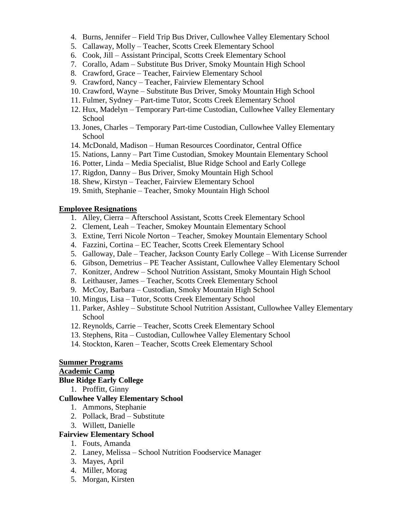- 4. Burns, Jennifer Field Trip Bus Driver, Cullowhee Valley Elementary School
- 5. Callaway, Molly Teacher, Scotts Creek Elementary School
- 6. Cook, Jill Assistant Principal, Scotts Creek Elementary School
- 7. Corallo, Adam Substitute Bus Driver, Smoky Mountain High School
- 8. Crawford, Grace Teacher, Fairview Elementary School
- 9. Crawford, Nancy Teacher, Fairview Elementary School
- 10. Crawford, Wayne Substitute Bus Driver, Smoky Mountain High School
- 11. Fulmer, Sydney Part-time Tutor, Scotts Creek Elementary School
- 12. Hux, Madelyn Temporary Part-time Custodian, Cullowhee Valley Elementary School
- 13. Jones, Charles Temporary Part-time Custodian, Cullowhee Valley Elementary School
- 14. McDonald, Madison Human Resources Coordinator, Central Office
- 15. Nations, Lanny Part Time Custodian, Smokey Mountain Elementary School
- 16. Potter, Linda Media Specialist, Blue Ridge School and Early College
- 17. Rigdon, Danny Bus Driver, Smoky Mountain High School
- 18. Shew, Kirstyn Teacher, Fairview Elementary School
- 19. Smith, Stephanie Teacher, Smoky Mountain High School

#### **Employee Resignations**

- 1. Alley, Cierra Afterschool Assistant, Scotts Creek Elementary School
- 2. Clement, Leah Teacher, Smokey Mountain Elementary School
- 3. Extine, Terri Nicole Norton Teacher, Smokey Mountain Elementary School
- 4. Fazzini, Cortina EC Teacher, Scotts Creek Elementary School
- 5. Galloway, Dale Teacher, Jackson County Early College With License Surrender
- 6. Gibson, Demetrius PE Teacher Assistant, Cullowhee Valley Elementary School
- 7. Konitzer, Andrew School Nutrition Assistant, Smoky Mountain High School
- 8. Leithauser, James Teacher, Scotts Creek Elementary School
- 9. McCoy, Barbara Custodian, Smoky Mountain High School
- 10. Mingus, Lisa Tutor, Scotts Creek Elementary School
- 11. Parker, Ashley Substitute School Nutrition Assistant, Cullowhee Valley Elementary School
- 12. Reynolds, Carrie Teacher, Scotts Creek Elementary School
- 13. Stephens, Rita Custodian, Cullowhee Valley Elementary School
- 14. Stockton, Karen Teacher, Scotts Creek Elementary School

#### **Summer Programs**

#### **Academic Camp**

#### **Blue Ridge Early College**

1. Proffitt, Ginny

#### **Cullowhee Valley Elementary School**

- 1. Ammons, Stephanie
- 2. Pollack, Brad Substitute
- 3. Willett, Danielle

### **Fairview Elementary School**

- 1. Fouts, Amanda
- 2. Laney, Melissa School Nutrition Foodservice Manager
- 3. Mayes, April
- 4. Miller, Morag
- 5. Morgan, Kirsten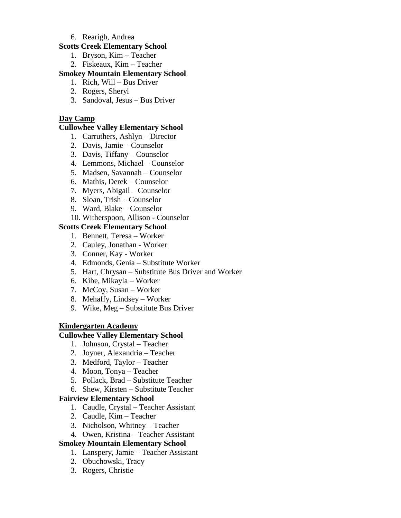### 6. Rearigh, Andrea

## **Scotts Creek Elementary School**

- 1. Bryson, Kim Teacher
- 2. Fiskeaux, Kim Teacher

# **Smokey Mountain Elementary School**

- 1. Rich, Will Bus Driver
- 2. Rogers, Sheryl
- 3. Sandoval, Jesus Bus Driver

# **Day Camp**

### **Cullowhee Valley Elementary School**

- 1. Carruthers, Ashlyn Director
- 2. Davis, Jamie Counselor
- 3. Davis, Tiffany Counselor
- 4. Lemmons, Michael Counselor
- 5. Madsen, Savannah Counselor
- 6. Mathis, Derek Counselor
- 7. Myers, Abigail Counselor
- 8. Sloan, Trish Counselor
- 9. Ward, Blake Counselor
- 10. Witherspoon, Allison Counselor

## **Scotts Creek Elementary School**

- 1. Bennett, Teresa Worker
- 2. Cauley, Jonathan Worker
- 3. Conner, Kay Worker
- 4. Edmonds, Genia Substitute Worker
- 5. Hart, Chrysan Substitute Bus Driver and Worker
- 6. Kibe, Mikayla Worker
- 7. McCoy, Susan Worker
- 8. Mehaffy, Lindsey Worker
- 9. Wike, Meg Substitute Bus Driver

### **Kindergarten Academy**

### **Cullowhee Valley Elementary School**

- 1. Johnson, Crystal Teacher
- 2. Joyner, Alexandria Teacher
- 3. Medford, Taylor Teacher
- 4. Moon, Tonya Teacher
- 5. Pollack, Brad Substitute Teacher
- 6. Shew, Kirsten Substitute Teacher

### **Fairview Elementary School**

- 1. Caudle, Crystal Teacher Assistant
- 2. Caudle, Kim Teacher
- 3. Nicholson, Whitney Teacher
- 4. Owen, Kristina Teacher Assistant

# **Smokey Mountain Elementary School**

- 1. Lanspery, Jamie Teacher Assistant
- 2. Obuchowski, Tracy
- 3. Rogers, Christie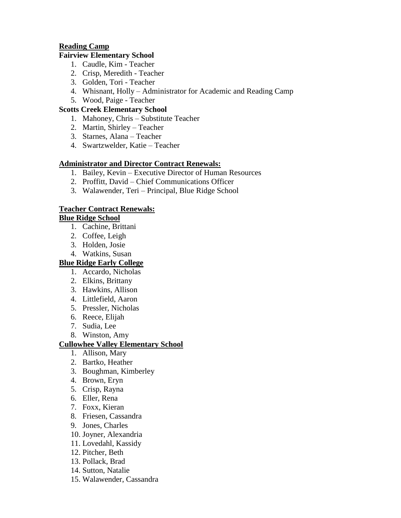# **Reading Camp**

## **Fairview Elementary School**

- 1. Caudle, Kim Teacher
- 2. Crisp, Meredith Teacher
- 3. Golden, Tori Teacher
- 4. Whisnant, Holly Administrator for Academic and Reading Camp
- 5. Wood, Paige Teacher

# **Scotts Creek Elementary School**

- 1. Mahoney, Chris Substitute Teacher
- 2. Martin, Shirley Teacher
- 3. Starnes, Alana Teacher
- 4. Swartzwelder, Katie Teacher

# **Administrator and Director Contract Renewals:**

- 1. Bailey, Kevin Executive Director of Human Resources
- 2. Proffitt, David Chief Communications Officer
- 3. Walawender, Teri Principal, Blue Ridge School

# **Teacher Contract Renewals:**

# **Blue Ridge School**

- 1. Cachine, Brittani
- 2. Coffee, Leigh
- 3. Holden, Josie
- 4. Watkins, Susan

# **Blue Ridge Early College**

- 1. Accardo, Nicholas
- 2. Elkins, Brittany
- 3. Hawkins, Allison
- 4. Littlefield, Aaron
- 5. Pressler, Nicholas
- 6. Reece, Elijah
- 7. Sudia, Lee
- 8. Winston, Amy

# **Cullowhee Valley Elementary School**

- 1. Allison, Mary
- 2. Bartko, Heather
- 3. Boughman, Kimberley
- 4. Brown, Eryn
- 5. Crisp, Rayna
- 6. Eller, Rena
- 7. Foxx, Kieran
- 8. Friesen, Cassandra
- 9. Jones, Charles
- 10. Joyner, Alexandria
- 11. Lovedahl, Kassidy
- 12. Pitcher, Beth
- 13. Pollack, Brad
- 14. Sutton, Natalie
- 15. Walawender, Cassandra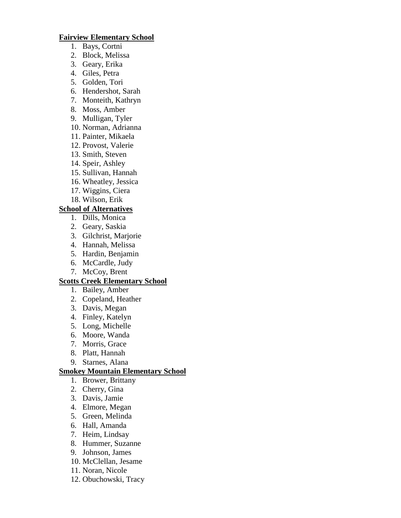#### **Fairview Elementary School**

- 1. Bays, Cortni
- 2. Block, Melissa
- 3. Geary, Erika
- 4. Giles, Petra
- 5. Golden, Tori
- 6. Hendershot, Sarah
- 7. Monteith, Kathryn
- 8. Moss, Amber
- 9. Mulligan, Tyler
- 10. Norman, Adrianna
- 11. Painter, Mikaela
- 12. Provost, Valerie
- 13. Smith, Steven
- 14. Speir, Ashley
- 15. Sullivan, Hannah
- 16. Wheatley, Jessica
- 17. Wiggins, Ciera
- 18. Wilson, Erik

### **School of Alternatives**

- 1. Dills, Monica
- 2. Geary, Saskia
- 3. Gilchrist, Marjorie
- 4. Hannah, Melissa
- 5. Hardin, Benjamin
- 6. McCardle, Judy
- 7. McCoy, Brent

### **Scotts Creek Elementary School**

- 1. Bailey, Amber
- 2. Copeland, Heather
- 3. Davis, Megan
- 4. Finley, Katelyn
- 5. Long, Michelle
- 6. Moore, Wanda
- 7. Morris, Grace
- 8. Platt, Hannah
- 9. Starnes, Alana

### **Smokey Mountain Elementary School**

- 1. Brower, Brittany
- 2. Cherry, Gina
- 3. Davis, Jamie
- 4. Elmore, Megan
- 5. Green, Melinda
- 6. Hall, Amanda
- 7. Heim, Lindsay
- 8. Hummer, Suzanne
- 9. Johnson, James
- 10. McClellan, Jesame
- 11. Noran, Nicole
- 12. Obuchowski, Tracy